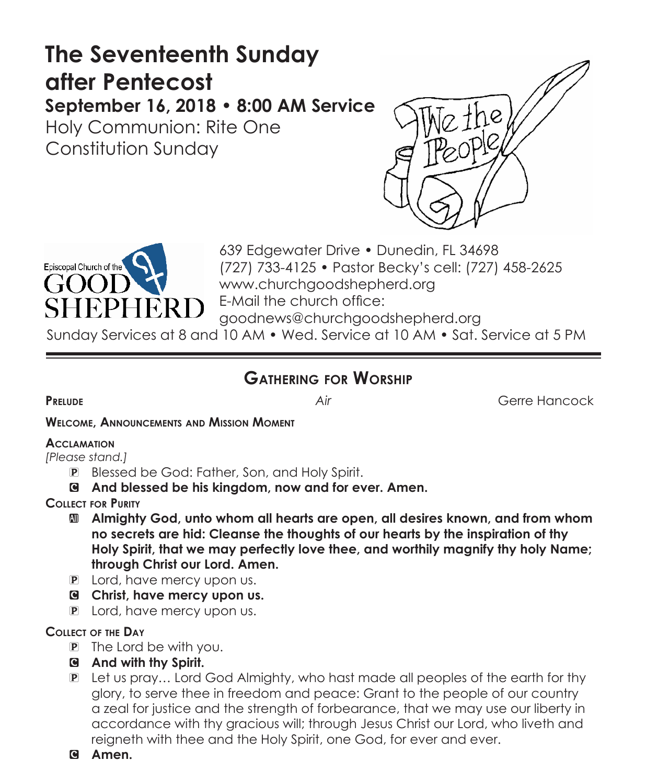# **The Seventeenth Sunday after Pentecost September 16, 2018 • 8:00 AM Service**

Holy Communion: Rite One Constitution Sunday





639 Edgewater Drive • Dunedin, FL 34698 (727) 733-4125 • Pastor Becky's cell: (727) 458-2625 www.churchgoodshepherd.org E-Mail the church office: goodnews@churchgoodshepherd.org

Sunday Services at 8 and 10 AM • Wed. Service at 10 AM • Sat. Service at 5 PM

## **Gathering for Worship**

**Prelude** *Air* Gerre Hancock

**Welcome, Announcements and Mission Moment**

#### **Acclamation**

*[Please stand.]* 

- P Blessed be God: Father, Son, and Holy Spirit.
- C **And blessed be his kingdom, now and for ever. Amen.**
- **Collect for Purity**
	- a **Almighty God, unto whom all hearts are open, all desires known, and from whom no secrets are hid: Cleanse the thoughts of our hearts by the inspiration of thy Holy Spirit, that we may perfectly love thee, and worthily magnify thy holy Name; through Christ our Lord. Amen.**
	- P Lord, have mercy upon us.
	- C **Christ, have mercy upon us.**
	- P Lord, have mercy upon us.

### **Collect of the Day**

- P The Lord be with you.
- C **And with thy Spirit.**
- P Let us pray… Lord God Almighty, who hast made all peoples of the earth for thy glory, to serve thee in freedom and peace: Grant to the people of our country a zeal for justice and the strength of forbearance, that we may use our liberty in accordance with thy gracious will; through Jesus Christ our Lord, who liveth and reigneth with thee and the Holy Spirit, one God, for ever and ever.
- C **Amen.**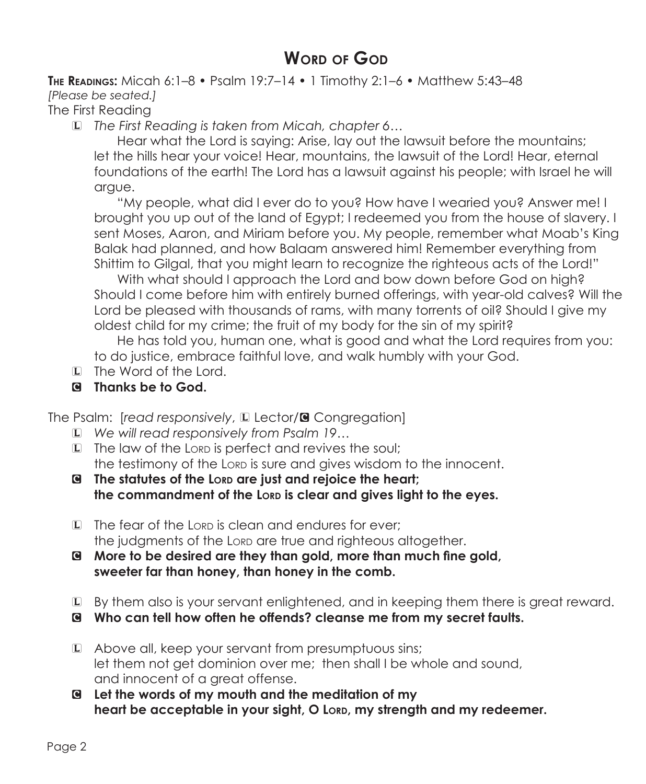## **Word of God**

**The Readings:** Micah 6:1–8 • Psalm 19:7–14 • 1 Timothy 2:1–6 • Matthew 5:43–48 *[Please be seated.]* The First Reading

L *The First Reading is taken from Micah, chapter 6…*

 Hear what the Lord is saying: Arise, lay out the lawsuit before the mountains; let the hills hear your voice! Hear, mountains, the lawsuit of the Lord! Hear, eternal foundations of the earth! The Lord has a lawsuit against his people; with Israel he will argue.

 "My people, what did I ever do to you? How have I wearied you? Answer me! I brought you up out of the land of Egypt; I redeemed you from the house of slavery. I sent Moses, Aaron, and Miriam before you. My people, remember what Moab's King Balak had planned, and how Balaam answered him! Remember everything from Shittim to Gilgal, that you might learn to recognize the righteous acts of the Lord!"

With what should I approach the Lord and bow down before God on high? Should I come before him with entirely burned offerings, with year-old calves? Will the Lord be pleased with thousands of rams, with many torrents of oil? Should I give my oldest child for my crime; the fruit of my body for the sin of my spirit?

 He has told you, human one, what is good and what the Lord requires from you: to do justice, embrace faithful love, and walk humbly with your God.

- L The Word of the Lord.
- C **Thanks be to God.**

The Psalm: [read responsively, L Lector/<sup>8</sup> Congregation]

- L *We will read responsively from Psalm 19…*
- L The law of the Lorp is perfect and revives the soul; the testimony of the Lorp is sure and gives wisdom to the innocent.
- G The statutes of the Lord are just and rejoice the heart; the commandment of the Lorp is clear and gives light to the eyes.
- L The fear of the Lord is clean and endures for ever: the judgments of the Lorp are true and righteous altogether.
- C **More to be desired are they than gold, more than much fine gold, sweeter far than honey, than honey in the comb.**
- L By them also is your servant enlightened, and in keeping them there is great reward.
- C **Who can tell how often he offends? cleanse me from my secret faults.**
- L Above all, keep your servant from presumptuous sins; let them not get dominion over me; then shall I be whole and sound, and innocent of a great offense.
- C **Let the words of my mouth and the meditation of my**  heart be acceptable in your sight, O Lord, my strength and my redeemer.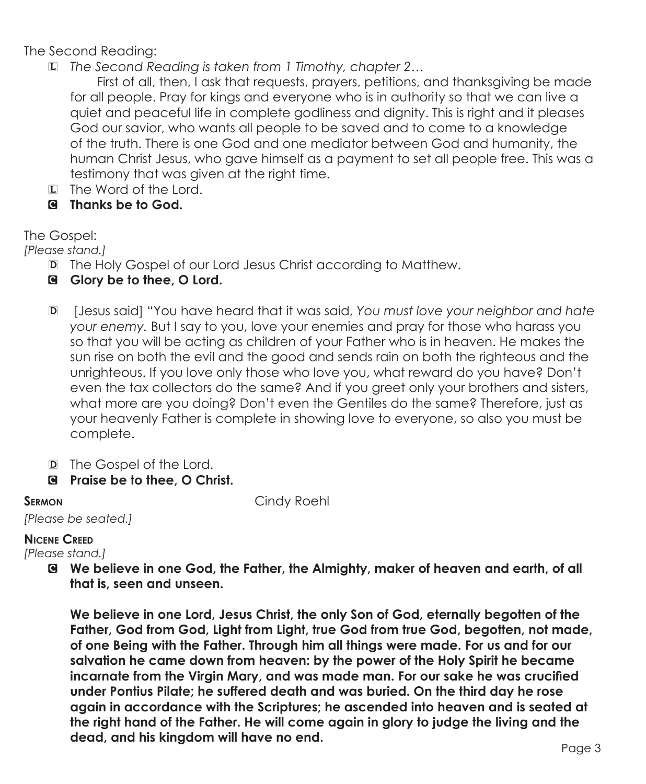The Second Reading:

L *The Second Reading is taken from 1 Timothy, chapter 2…*

 First of all, then, I ask that requests, prayers, petitions, and thanksgiving be made for all people. Pray for kings and everyone who is in authority so that we can live a quiet and peaceful life in complete godliness and dignity. This is right and it pleases God our savior, who wants all people to be saved and to come to a knowledge of the truth. There is one God and one mediator between God and humanity, the human Christ Jesus, who gave himself as a payment to set all people free. This was a testimony that was given at the right time.

- L The Word of the Lord.
- C **Thanks be to God.**

The Gospel:

*[Please stand.]*

- D The Holy Gospel of our Lord Jesus Christ according to Matthew.
- C **Glory be to thee, O Lord.**
- D [Jesus said] "You have heard that it was said, *You must love your neighbor and hate your enemy.* But I say to you, love your enemies and pray for those who harass you so that you will be acting as children of your Father who is in heaven. He makes the sun rise on both the evil and the good and sends rain on both the righteous and the unrighteous. If you love only those who love you, what reward do you have? Don't even the tax collectors do the same? And if you greet only your brothers and sisters, what more are you doing? Don't even the Gentiles do the same? Therefore, just as your heavenly Father is complete in showing love to everyone, so also you must be complete.
- D The Gospel of the Lord.
- C **Praise be to thee, O Christ.**

**SERMON Cindy Roehl** 

*[Please be seated.]*

### **Nicene Creed**

*[Please stand.]*

C **We believe in one God, the Father, the Almighty, maker of heaven and earth, of all that is, seen and unseen.** 

**We believe in one Lord, Jesus Christ, the only Son of God, eternally begotten of the Father, God from God, Light from Light, true God from true God, begotten, not made, of one Being with the Father. Through him all things were made. For us and for our salvation he came down from heaven: by the power of the Holy Spirit he became incarnate from the Virgin Mary, and was made man. For our sake he was crucified under Pontius Pilate; he suffered death and was buried. On the third day he rose again in accordance with the Scriptures; he ascended into heaven and is seated at the right hand of the Father. He will come again in glory to judge the living and the dead, and his kingdom will have no end.**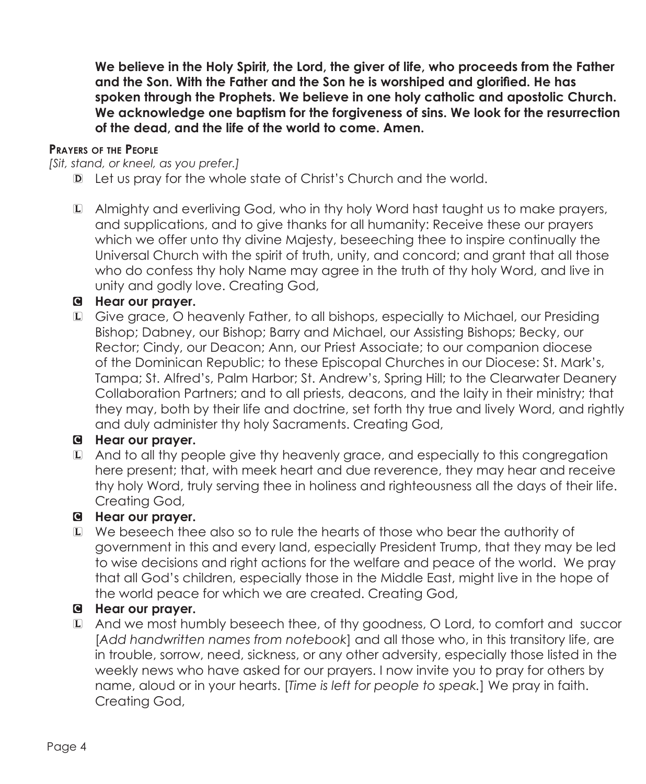**We believe in the Holy Spirit, the Lord, the giver of life, who proceeds from the Father and the Son. With the Father and the Son he is worshiped and glorified. He has spoken through the Prophets. We believe in one holy catholic and apostolic Church. We acknowledge one baptism for the forgiveness of sins. We look for the resurrection of the dead, and the life of the world to come. Amen.**

#### **Prayers of the People**

*[Sit, stand, or kneel, as you prefer.]*

- D Let us pray for the whole state of Christ's Church and the world.
- L Almighty and everliving God, who in thy holy Word hast taught us to make prayers, and supplications, and to give thanks for all humanity: Receive these our prayers which we offer unto thy divine Majesty, beseeching thee to inspire continually the Universal Church with the spirit of truth, unity, and concord; and grant that all those who do confess thy holy Name may agree in the truth of thy holy Word, and live in unity and godly love. Creating God,

#### C **Hear our prayer.**

L Give grace, O heavenly Father, to all bishops, especially to Michael, our Presiding Bishop; Dabney, our Bishop; Barry and Michael, our Assisting Bishops; Becky, our Rector; Cindy, our Deacon; Ann, our Priest Associate; to our companion diocese of the Dominican Republic; to these Episcopal Churches in our Diocese: St. Mark's, Tampa; St. Alfred's, Palm Harbor; St. Andrew's, Spring Hill; to the Clearwater Deanery Collaboration Partners; and to all priests, deacons, and the laity in their ministry; that they may, both by their life and doctrine, set forth thy true and lively Word, and rightly and duly administer thy holy Sacraments. Creating God,

#### C **Hear our prayer.**

L And to all thy people give thy heavenly grace, and especially to this congregation here present; that, with meek heart and due reverence, they may hear and receive thy holy Word, truly serving thee in holiness and righteousness all the days of their life. Creating God,

#### C **Hear our prayer.**

L We beseech thee also so to rule the hearts of those who bear the authority of government in this and every land, especially President Trump, that they may be led to wise decisions and right actions for the welfare and peace of the world. We pray that all God's children, especially those in the Middle East, might live in the hope of the world peace for which we are created. Creating God,

#### C **Hear our prayer.**

L And we most humbly beseech thee, of thy goodness, O Lord, to comfort and succor [*Add handwritten names from notebook*] and all those who, in this transitory life, are in trouble, sorrow, need, sickness, or any other adversity, especially those listed in the weekly news who have asked for our prayers. I now invite you to pray for others by name, aloud or in your hearts. [*Time is left for people to speak.*] We pray in faith. Creating God,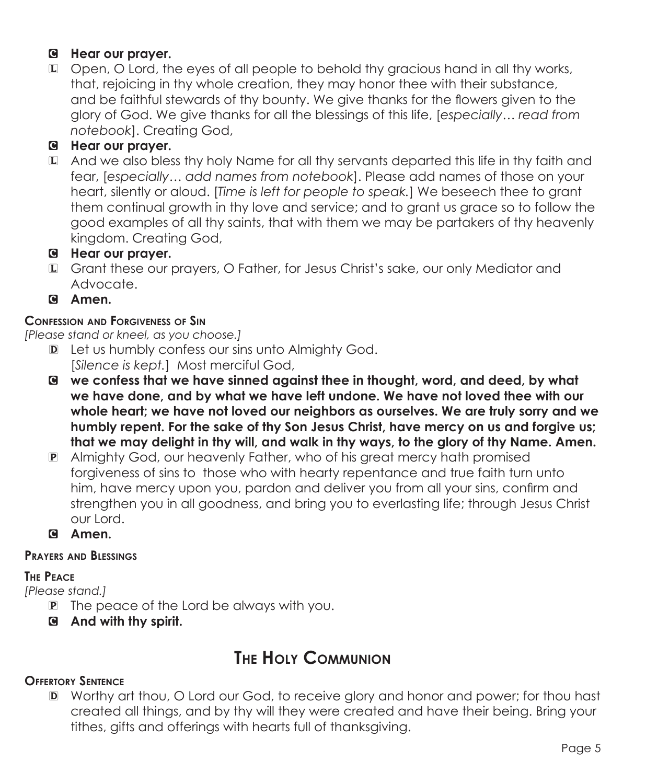#### C **Hear our prayer.**

L Open, O Lord, the eyes of all people to behold thy gracious hand in all thy works, that, rejoicing in thy whole creation, they may honor thee with their substance, and be faithful stewards of thy bounty. We give thanks for the flowers given to the glory of God. We give thanks for all the blessings of this life, [*especially… read from notebook*]. Creating God,

### C **Hear our prayer.**

L And we also bless thy holy Name for all thy servants departed this life in thy faith and fear, [*especially… add names from notebook*]. Please add names of those on your heart, silently or aloud. [*Time is left for people to speak.*] We beseech thee to grant them continual growth in thy love and service; and to grant us grace so to follow the good examples of all thy saints, that with them we may be partakers of thy heavenly kingdom. Creating God,

#### C **Hear our prayer.**

- L Grant these our prayers, O Father, for Jesus Christ's sake, our only Mediator and Advocate.
- C **Amen.**

#### **Confession and Forgiveness of Sin**

*[Please stand or kneel, as you choose.]*

- D Let us humbly confess our sins unto Almighty God. [*Silence is kept.*] Most merciful God,
- C **we confess that we have sinned against thee in thought, word, and deed, by what we have done, and by what we have left undone. We have not loved thee with our whole heart; we have not loved our neighbors as ourselves. We are truly sorry and we humbly repent. For the sake of thy Son Jesus Christ, have mercy on us and forgive us; that we may delight in thy will, and walk in thy ways, to the glory of thy Name. Amen.**
- P Almighty God, our heavenly Father, who of his great mercy hath promised forgiveness of sins to those who with hearty repentance and true faith turn unto him, have mercy upon you, pardon and deliver you from all your sins, confirm and strengthen you in all goodness, and bring you to everlasting life; through Jesus Christ our Lord.
- C **Amen.**

#### **Prayers and Blessings**

#### **The Peace**

*[Please stand.]*

- P The peace of the Lord be always with you.
- C **And with thy spirit.**

## **The Holy Communion**

#### **Offertory Sentence**

D Worthy art thou, O Lord our God, to receive glory and honor and power; for thou hast created all things, and by thy will they were created and have their being. Bring your tithes, gifts and offerings with hearts full of thanksgiving.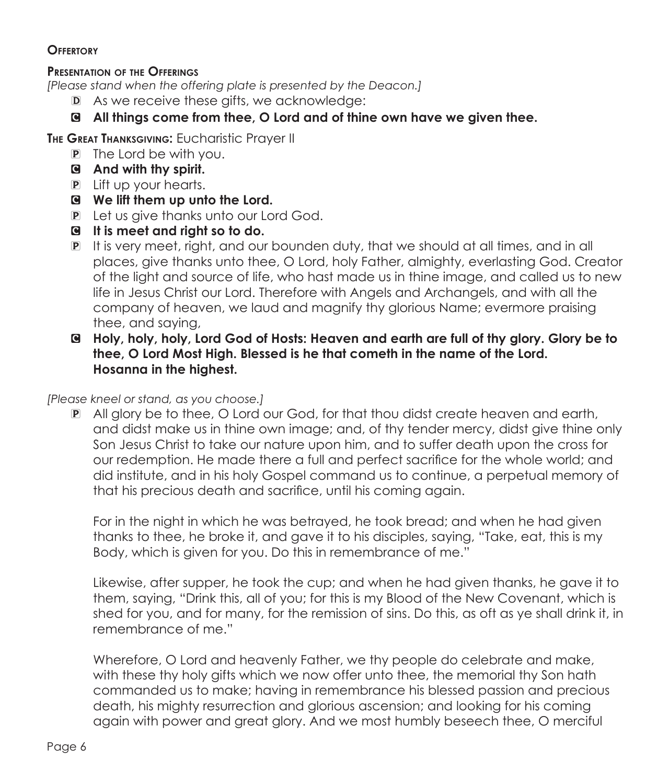#### **Offertory**

#### **Presentation of the Offerings**

*[Please stand when the offering plate is presented by the Deacon.]*

- D As we receive these gifts, we acknowledge:
- C **All things come from thee, O Lord and of thine own have we given thee.**

**The Great Thanksgiving:** Eucharistic Prayer II

- P The Lord be with you.
- C **And with thy spirit.**
- P Lift up your hearts.
- C **We lift them up unto the Lord.**
- P Let us give thanks unto our Lord God.
- C **It is meet and right so to do.**
- P It is very meet, right, and our bounden duty, that we should at all times, and in all places, give thanks unto thee, O Lord, holy Father, almighty, everlasting God. Creator of the light and source of life, who hast made us in thine image, and called us to new life in Jesus Christ our Lord. Therefore with Angels and Archangels, and with all the company of heaven, we laud and magnify thy glorious Name; evermore praising thee, and saying,
- C **Holy, holy, holy, Lord God of Hosts: Heaven and earth are full of thy glory. Glory be to thee, O Lord Most High. Blessed is he that cometh in the name of the Lord. Hosanna in the highest.**

*[Please kneel or stand, as you choose.]*

P All glory be to thee, O Lord our God, for that thou didst create heaven and earth, and didst make us in thine own image; and, of thy tender mercy, didst give thine only Son Jesus Christ to take our nature upon him, and to suffer death upon the cross for our redemption. He made there a full and perfect sacrifice for the whole world; and did institute, and in his holy Gospel command us to continue, a perpetual memory of that his precious death and sacrifice, until his coming again.

 For in the night in which he was betrayed, he took bread; and when he had given thanks to thee, he broke it, and gave it to his disciples, saying, "Take, eat, this is my Body, which is given for you. Do this in remembrance of me."

Likewise, after supper, he took the cup; and when he had given thanks, he gave it to them, saying, "Drink this, all of you; for this is my Blood of the New Covenant, which is shed for you, and for many, for the remission of sins. Do this, as oft as ye shall drink it, in remembrance of me."

 Wherefore, O Lord and heavenly Father, we thy people do celebrate and make, with these thy holy gifts which we now offer unto thee, the memorial thy Son hath commanded us to make; having in remembrance his blessed passion and precious death, his mighty resurrection and glorious ascension; and looking for his coming again with power and great glory. And we most humbly beseech thee, O merciful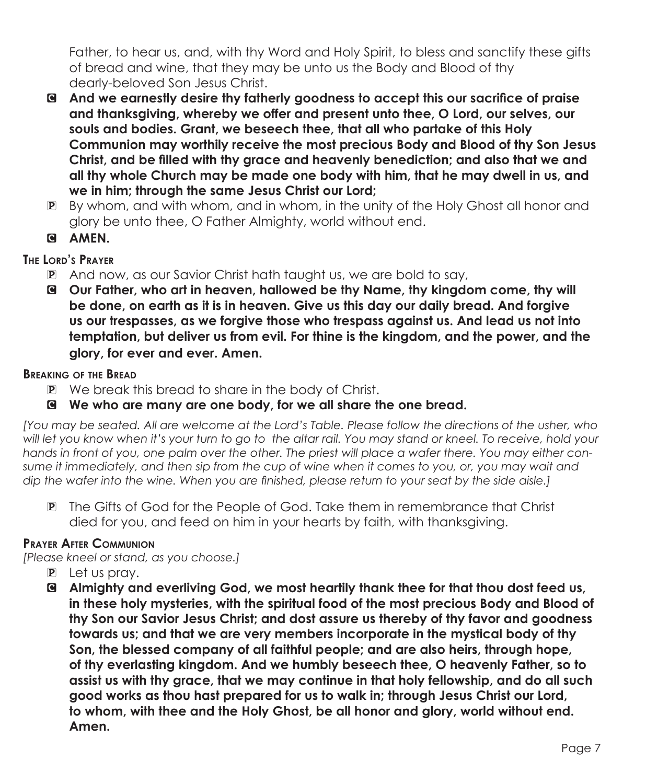Father, to hear us, and, with thy Word and Holy Spirit, to bless and sanctify these gifts of bread and wine, that they may be unto us the Body and Blood of thy dearly-beloved Son Jesus Christ.

- C **And we earnestly desire thy fatherly goodness to accept this our sacrifice of praise and thanksgiving, whereby we offer and present unto thee, O Lord, our selves, our souls and bodies. Grant, we beseech thee, that all who partake of this Holy Communion may worthily receive the most precious Body and Blood of thy Son Jesus Christ, and be filled with thy grace and heavenly benediction; and also that we and all thy whole Church may be made one body with him, that he may dwell in us, and we in him; through the same Jesus Christ our Lord;**
- P By whom, and with whom, and in whom, in the unity of the Holy Ghost all honor and glory be unto thee, O Father Almighty, world without end.
- C **AMEN.**

#### **The Lord's Prayer**

- P And now, as our Savior Christ hath taught us, we are bold to say,
- C **Our Father, who art in heaven, hallowed be thy Name, thy kingdom come, thy will be done, on earth as it is in heaven. Give us this day our daily bread. And forgive us our trespasses, as we forgive those who trespass against us. And lead us not into temptation, but deliver us from evil. For thine is the kingdom, and the power, and the glory, for ever and ever. Amen.**

#### **Breaking of the Bread**

- P We break this bread to share in the body of Christ.
- C **We who are many are one body, for we all share the one bread.**

*[You may be seated. All are welcome at the Lord's Table. Please follow the directions of the usher, who will let you know when it's your turn to go to the altar rail. You may stand or kneel. To receive, hold your hands in front of you, one palm over the other. The priest will place a wafer there. You may either consume it immediately, and then sip from the cup of wine when it comes to you, or, you may wait and dip the wafer into the wine. When you are finished, please return to your seat by the side aisle.]*

P The Gifts of God for the People of God. Take them in remembrance that Christ died for you, and feed on him in your hearts by faith, with thanksgiving.

#### **Prayer After Communion**

*[Please kneel or stand, as you choose.]*

- P Let us pray.
- C **Almighty and everliving God, we most heartily thank thee for that thou dost feed us, in these holy mysteries, with the spiritual food of the most precious Body and Blood of thy Son our Savior Jesus Christ; and dost assure us thereby of thy favor and goodness towards us; and that we are very members incorporate in the mystical body of thy Son, the blessed company of all faithful people; and are also heirs, through hope, of thy everlasting kingdom. And we humbly beseech thee, O heavenly Father, so to assist us with thy grace, that we may continue in that holy fellowship, and do all such good works as thou hast prepared for us to walk in; through Jesus Christ our Lord, to whom, with thee and the Holy Ghost, be all honor and glory, world without end. Amen.**